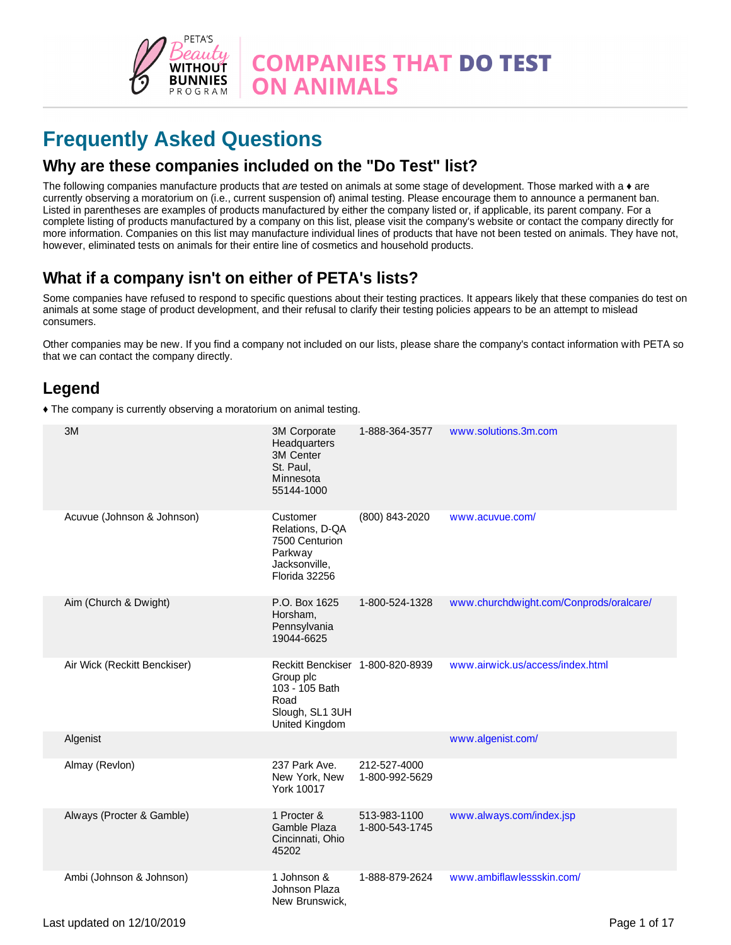

# **Frequently Asked Questions**

#### **Why are these companies included on the "Do Test" list?**

The following companies manufacture products that *are* tested on animals at some stage of development. Those marked with a ♦ are currently observing a moratorium on (i.e., current suspension of) animal testing. Please encourage them to announce a permanent ban. Listed in parentheses are examples of products manufactured by either the company listed or, if applicable, its parent company. For a complete listing of products manufactured by a company on this list, please visit the company's website or contact the company directly for more information. Companies on this list may manufacture individual lines of products that have not been tested on animals. They have not, however, eliminated tests on animals for their entire line of cosmetics and household products.

### **What if a company isn't on either of PETA's lists?**

Some companies have refused to respond to specific questions about their testing practices. It appears likely that these companies do test on animals at some stage of product development, and their refusal to clarify their testing policies appears to be an attempt to mislead consumers.

Other companies may be new. If you find a company not included on our lists, please share the company's contact information with PETA so that we can contact the company directly.

### **Legend**

Ƈ The company is currently observing a moratorium on animal testing.

| 3M                           | 3M Corporate<br>Headquarters<br>3M Center<br>St. Paul,<br>Minnesota<br>55144-1000                            | 1-888-364-3577                 | www.solutions.3m.com                    |
|------------------------------|--------------------------------------------------------------------------------------------------------------|--------------------------------|-----------------------------------------|
| Acuvue (Johnson & Johnson)   | Customer<br>Relations, D-QA<br>7500 Centurion<br>Parkway<br>Jacksonville,<br>Florida 32256                   | (800) 843-2020                 | www.acuvue.com/                         |
| Aim (Church & Dwight)        | P.O. Box 1625<br>Horsham,<br>Pennsylvania<br>19044-6625                                                      | 1-800-524-1328                 | www.churchdwight.com/Conprods/oralcare/ |
| Air Wick (Reckitt Benckiser) | Reckitt Benckiser 1-800-820-8939<br>Group plc<br>103 - 105 Bath<br>Road<br>Slough, SL1 3UH<br>United Kingdom |                                | www.airwick.us/access/index.html        |
| Algenist                     |                                                                                                              |                                | www.algenist.com/                       |
| Almay (Revlon)               | 237 Park Ave.<br>New York, New<br><b>York 10017</b>                                                          | 212-527-4000<br>1-800-992-5629 |                                         |
| Always (Procter & Gamble)    | 1 Procter &<br>Gamble Plaza<br>Cincinnati, Ohio<br>45202                                                     | 513-983-1100<br>1-800-543-1745 | www.always.com/index.jsp                |
| Ambi (Johnson & Johnson)     | 1 Johnson &<br>Johnson Plaza<br>New Brunswick,                                                               | 1-888-879-2624                 | www.ambiflawlessskin.com/               |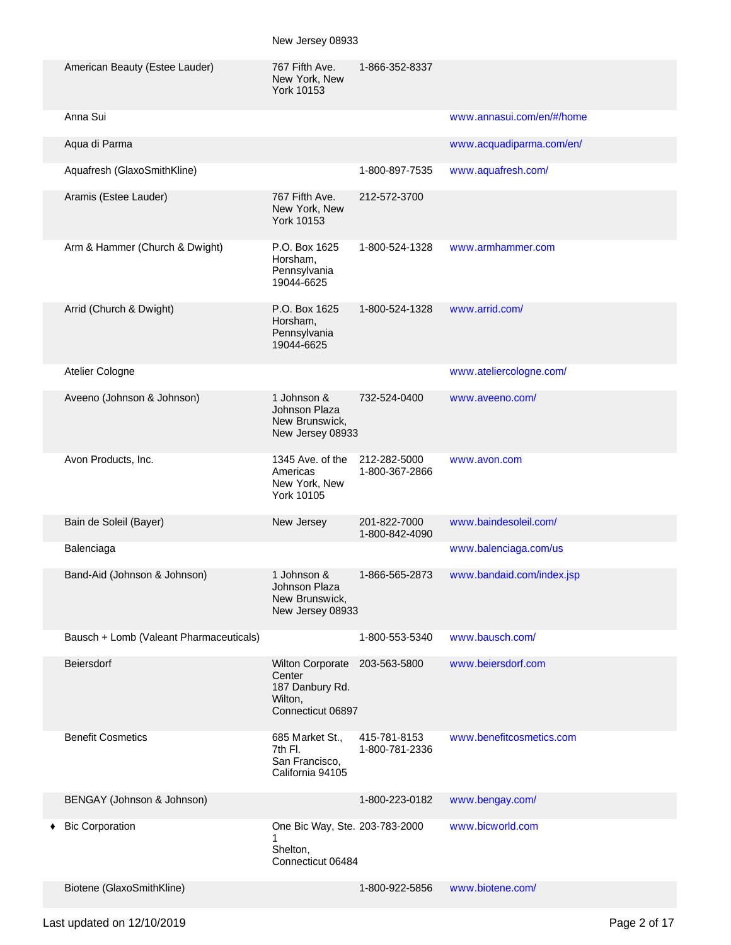|   | American Beauty (Estee Lauder)          | 767 Fifth Ave.<br>New York, New<br><b>York 10153</b>                                 | 1-866-352-8337                 |                           |
|---|-----------------------------------------|--------------------------------------------------------------------------------------|--------------------------------|---------------------------|
|   | Anna Sui                                |                                                                                      |                                | www.annasui.com/en/#/home |
|   | Aqua di Parma                           |                                                                                      |                                | www.acquadiparma.com/en/  |
|   | Aquafresh (GlaxoSmithKline)             |                                                                                      | 1-800-897-7535                 | www.aquafresh.com/        |
|   | Aramis (Estee Lauder)                   | 767 Fifth Ave.<br>New York, New<br><b>York 10153</b>                                 | 212-572-3700                   |                           |
|   | Arm & Hammer (Church & Dwight)          | P.O. Box 1625<br>Horsham,<br>Pennsylvania<br>19044-6625                              | 1-800-524-1328                 | www.armhammer.com         |
|   | Arrid (Church & Dwight)                 | P.O. Box 1625<br>Horsham,<br>Pennsylvania<br>19044-6625                              | 1-800-524-1328                 | www.arrid.com/            |
|   | Atelier Cologne                         |                                                                                      |                                | www.ateliercologne.com/   |
|   | Aveeno (Johnson & Johnson)              | 1 Johnson &<br>Johnson Plaza<br>New Brunswick,<br>New Jersey 08933                   | 732-524-0400                   | www.aveeno.com/           |
|   | Avon Products, Inc.                     | 1345 Ave. of the<br>Americas<br>New York, New<br>York 10105                          | 212-282-5000<br>1-800-367-2866 | www.avon.com              |
|   | Bain de Soleil (Bayer)                  | New Jersey                                                                           | 201-822-7000<br>1-800-842-4090 | www.baindesoleil.com/     |
|   | Balenciaga                              |                                                                                      |                                | www.balenciaga.com/us     |
|   | Band-Aid (Johnson & Johnson)            | 1 Johnson &<br>Johnson Plaza<br>New Brunswick,<br>New Jersey 08933                   | 1-866-565-2873                 | www.bandaid.com/index.jsp |
|   | Bausch + Lomb (Valeant Pharmaceuticals) |                                                                                      | 1-800-553-5340                 | www.bausch.com/           |
|   | Beiersdorf                              | <b>Wilton Corporate</b><br>Center<br>187 Danbury Rd.<br>Wilton,<br>Connecticut 06897 | 203-563-5800                   | www.beiersdorf.com        |
|   | <b>Benefit Cosmetics</b>                | 685 Market St.,<br>7th Fl.<br>San Francisco,<br>California 94105                     | 415-781-8153<br>1-800-781-2336 | www.benefitcosmetics.com  |
|   | BENGAY (Johnson & Johnson)              |                                                                                      | 1-800-223-0182                 | www.bengay.com/           |
| ٠ | <b>Bic Corporation</b>                  | One Bic Way, Ste. 203-783-2000<br>Shelton,<br>Connecticut 06484                      |                                | www.bicworld.com          |
|   | Biotene (GlaxoSmithKline)               |                                                                                      | 1-800-922-5856                 | www.biotene.com/          |

## Last updated on 12/10/2019 **Page 2 of 17**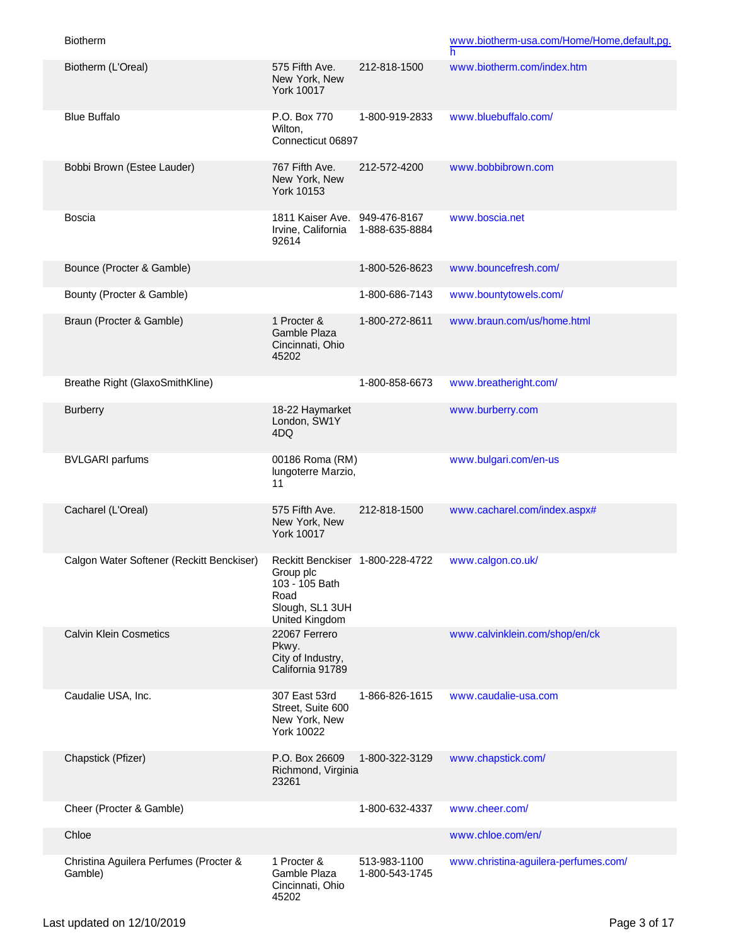Biotherm

|                                                   |                                                                                                              |                                | h                                    |
|---------------------------------------------------|--------------------------------------------------------------------------------------------------------------|--------------------------------|--------------------------------------|
| Biotherm (L'Oreal)                                | 575 Fifth Ave.<br>New York, New<br><b>York 10017</b>                                                         | 212-818-1500                   | www.biotherm.com/index.htm           |
| <b>Blue Buffalo</b>                               | P.O. Box 770<br>Wilton,<br>Connecticut 06897                                                                 | 1-800-919-2833                 | www.bluebuffalo.com/                 |
| Bobbi Brown (Estee Lauder)                        | 767 Fifth Ave.<br>New York, New<br>York 10153                                                                | 212-572-4200                   | www.bobbibrown.com                   |
| <b>Boscia</b>                                     | 1811 Kaiser Ave.<br>Irvine, California<br>92614                                                              | 949-476-8167<br>1-888-635-8884 | www.boscia.net                       |
| Bounce (Procter & Gamble)                         |                                                                                                              | 1-800-526-8623                 | www.bouncefresh.com/                 |
| Bounty (Procter & Gamble)                         |                                                                                                              | 1-800-686-7143                 | www.bountytowels.com/                |
| Braun (Procter & Gamble)                          | 1 Procter &<br>Gamble Plaza<br>Cincinnati, Ohio<br>45202                                                     | 1-800-272-8611                 | www.braun.com/us/home.html           |
| Breathe Right (GlaxoSmithKline)                   |                                                                                                              | 1-800-858-6673                 | www.breatheright.com/                |
| <b>Burberry</b>                                   | 18-22 Haymarket<br>London, SW1Y<br>4DQ.                                                                      |                                | www.burberry.com                     |
| <b>BVLGARI</b> parfums                            | 00186 Roma (RM)<br>lungoterre Marzio,<br>11                                                                  |                                | www.bulgari.com/en-us                |
| Cacharel (L'Oreal)                                | 575 Fifth Ave.<br>New York, New<br><b>York 10017</b>                                                         | 212-818-1500                   | www.cacharel.com/index.aspx#         |
| Calgon Water Softener (Reckitt Benckiser)         | Reckitt Benckiser 1-800-228-4722<br>Group plc<br>103 - 105 Bath<br>Road<br>Slough, SL1 3UH<br>United Kingdom |                                | www.calgon.co.uk/                    |
| <b>Calvin Klein Cosmetics</b>                     | 22067 Ferrero<br>Pkwy.<br>City of Industry,<br>California 91789                                              |                                | www.calvinklein.com/shop/en/ck       |
| Caudalie USA, Inc.                                | 307 East 53rd<br>Street, Suite 600<br>New York, New<br>York 10022                                            | 1-866-826-1615                 | www.caudalie-usa.com                 |
| Chapstick (Pfizer)                                | P.O. Box 26609<br>Richmond, Virginia<br>23261                                                                | 1-800-322-3129                 | www.chapstick.com/                   |
| Cheer (Procter & Gamble)                          |                                                                                                              | 1-800-632-4337                 | www.cheer.com/                       |
| Chloe                                             |                                                                                                              |                                | www.chloe.com/en/                    |
| Christina Aguilera Perfumes (Procter &<br>Gamble) | 1 Procter &<br>Gamble Plaza<br>Cincinnati, Ohio<br>45202                                                     | 513-983-1100<br>1-800-543-1745 | www.christina-aguilera-perfumes.com/ |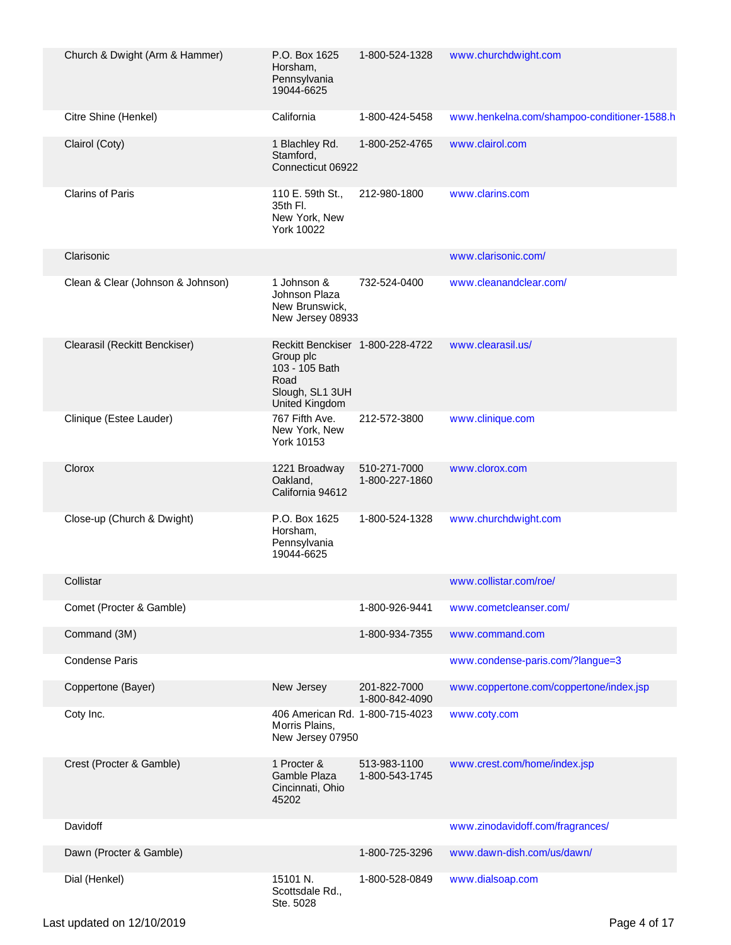| Church & Dwight (Arm & Hammer)    | P.O. Box 1625<br>Horsham,<br>Pennsylvania<br>19044-6625                                                             | 1-800-524-1328                 | www.churchdwight.com                        |
|-----------------------------------|---------------------------------------------------------------------------------------------------------------------|--------------------------------|---------------------------------------------|
| Citre Shine (Henkel)              | California                                                                                                          | 1-800-424-5458                 | www.henkelna.com/shampoo-conditioner-1588.h |
| Clairol (Coty)                    | 1 Blachley Rd.<br>Stamford,<br>Connecticut 06922                                                                    | 1-800-252-4765                 | www.clairol.com                             |
| <b>Clarins of Paris</b>           | 110 E. 59th St.,<br>35th Fl.<br>New York, New<br>York 10022                                                         | 212-980-1800                   | www.clarins.com                             |
| Clarisonic                        |                                                                                                                     |                                | www.clarisonic.com/                         |
| Clean & Clear (Johnson & Johnson) | 1 Johnson &<br>Johnson Plaza<br>New Brunswick,<br>New Jersey 08933                                                  | 732-524-0400                   | www.cleanandclear.com/                      |
| Clearasil (Reckitt Benckiser)     | Reckitt Benckiser 1-800-228-4722<br>Group plc<br>103 - 105 Bath<br>Road<br>Slough, SL1 3UH<br><b>United Kingdom</b> |                                | www.clearasil.us/                           |
| Clinique (Estee Lauder)           | 767 Fifth Ave.<br>New York, New<br>York 10153                                                                       | 212-572-3800                   | www.clinique.com                            |
| Clorox                            | 1221 Broadway<br>Oakland,<br>California 94612                                                                       | 510-271-7000<br>1-800-227-1860 | www.clorox.com                              |
| Close-up (Church & Dwight)        | P.O. Box 1625<br>Horsham,<br>Pennsylvania<br>19044-6625                                                             | 1-800-524-1328                 | www.churchdwight.com                        |
| Collistar                         |                                                                                                                     |                                | www.collistar.com/roe/                      |
| Comet (Procter & Gamble)          |                                                                                                                     | 1-800-926-9441                 | www.cometcleanser.com/                      |
| Command (3M)                      |                                                                                                                     | 1-800-934-7355                 | www.command.com                             |
| <b>Condense Paris</b>             |                                                                                                                     |                                | www.condense-paris.com/?langue=3            |
| Coppertone (Bayer)                | New Jersey                                                                                                          | 201-822-7000<br>1-800-842-4090 | www.coppertone.com/coppertone/index.jsp     |
| Coty Inc.                         | 406 American Rd. 1-800-715-4023<br>Morris Plains,<br>New Jersey 07950                                               |                                | www.coty.com                                |
| Crest (Procter & Gamble)          | 1 Procter &<br>Gamble Plaza<br>Cincinnati, Ohio<br>45202                                                            | 513-983-1100<br>1-800-543-1745 | www.crest.com/home/index.jsp                |
| Davidoff                          |                                                                                                                     |                                | www.zinodavidoff.com/fragrances/            |
| Dawn (Procter & Gamble)           |                                                                                                                     | 1-800-725-3296                 | www.dawn-dish.com/us/dawn/                  |
| Dial (Henkel)                     | 15101 N.<br>Scottsdale Rd.,<br>Ste. 5028                                                                            | 1-800-528-0849                 | www.dialsoap.com                            |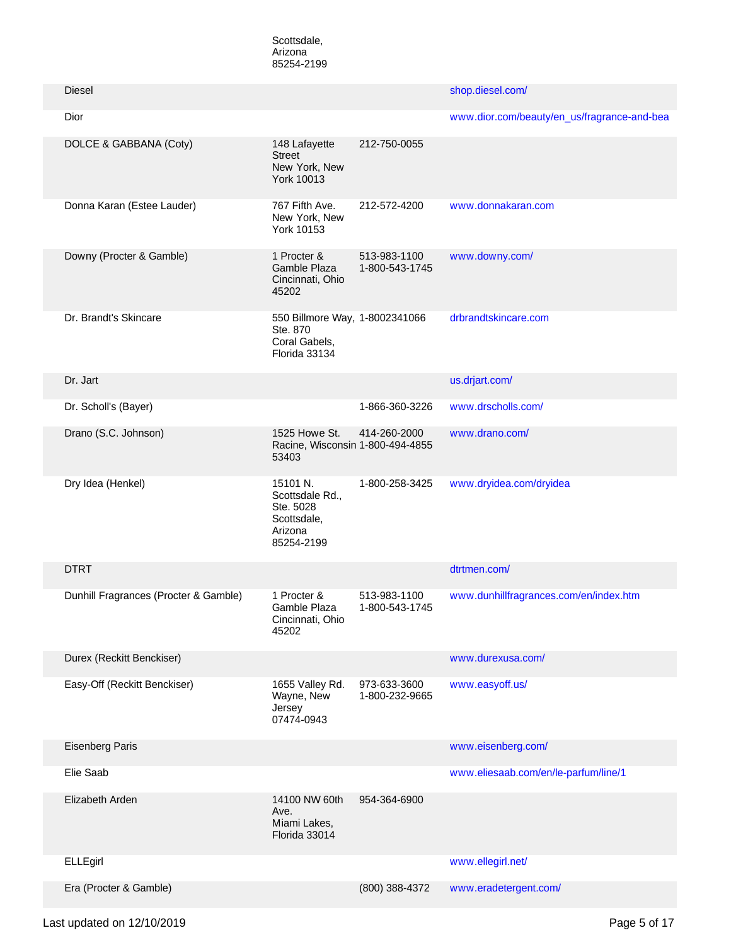Scottsdale, Arizona 85254-2199

| <b>Diesel</b>                         |                                                                                  |                                | shop.diesel.com/                            |
|---------------------------------------|----------------------------------------------------------------------------------|--------------------------------|---------------------------------------------|
| Dior                                  |                                                                                  |                                | www.dior.com/beauty/en_us/fragrance-and-bea |
| DOLCE & GABBANA (Coty)                | 148 Lafayette<br><b>Street</b><br>New York, New<br>York 10013                    | 212-750-0055                   |                                             |
| Donna Karan (Estee Lauder)            | 767 Fifth Ave.<br>New York, New<br>York 10153                                    | 212-572-4200                   | www.donnakaran.com                          |
| Downy (Procter & Gamble)              | 1 Procter &<br>Gamble Plaza<br>Cincinnati, Ohio<br>45202                         | 513-983-1100<br>1-800-543-1745 | www.downy.com/                              |
| Dr. Brandt's Skincare                 | 550 Billmore Way, 1-8002341066<br>Ste. 870<br>Coral Gabels,<br>Florida 33134     |                                | drbrandtskincare.com                        |
| Dr. Jart                              |                                                                                  |                                | us.drjart.com/                              |
| Dr. Scholl's (Bayer)                  |                                                                                  | 1-866-360-3226                 | www.drscholls.com/                          |
| Drano (S.C. Johnson)                  | 1525 Howe St.<br>Racine, Wisconsin 1-800-494-4855<br>53403                       | 414-260-2000                   | www.drano.com/                              |
| Dry Idea (Henkel)                     | 15101 N.<br>Scottsdale Rd.,<br>Ste. 5028<br>Scottsdale,<br>Arizona<br>85254-2199 | 1-800-258-3425                 | www.dryidea.com/dryidea                     |
| <b>DTRT</b>                           |                                                                                  |                                | dtrtmen.com/                                |
| Dunhill Fragrances (Procter & Gamble) | 1 Procter &<br>Gamble Plaza<br>Cincinnati, Ohio<br>45202                         | 513-983-1100<br>1-800-543-1745 | www.dunhillfragrances.com/en/index.htm      |
| Durex (Reckitt Benckiser)             |                                                                                  |                                | www.durexusa.com/                           |
| Easy-Off (Reckitt Benckiser)          | 1655 Valley Rd.<br>Wayne, New<br>Jersey<br>07474-0943                            | 973-633-3600<br>1-800-232-9665 | www.easyoff.us/                             |
| <b>Eisenberg Paris</b>                |                                                                                  |                                | www.eisenberg.com/                          |
| Elie Saab                             |                                                                                  |                                | www.eliesaab.com/en/le-parfum/line/1        |
| Elizabeth Arden                       | 14100 NW 60th<br>Ave.<br>Miami Lakes,<br>Florida 33014                           | 954-364-6900                   |                                             |
| ELLEgirl                              |                                                                                  |                                | www.ellegirl.net/                           |
| Era (Procter & Gamble)                |                                                                                  | (800) 388-4372                 | www.eradetergent.com/                       |

Last updated on 12/10/2019 **Page 5 of 17**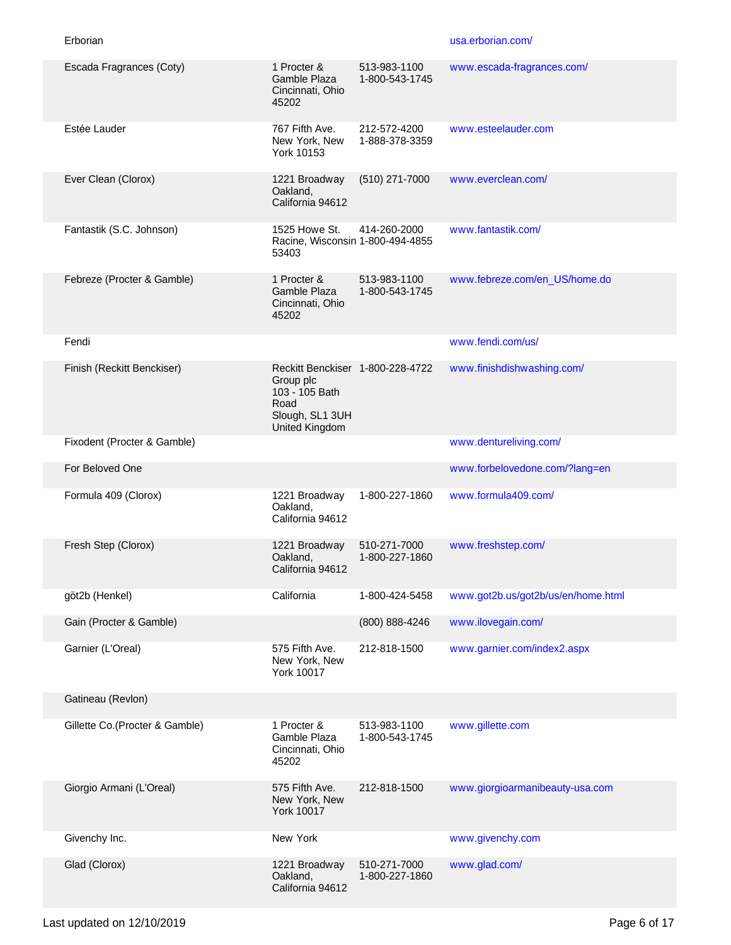| Escada Fragrances (Coty)       | 1 Procter &<br>Gamble Plaza<br>Cincinnati, Ohio<br>45202                                                     | 513-983-1100<br>1-800-543-1745 | www.escada-fragrances.com/         |
|--------------------------------|--------------------------------------------------------------------------------------------------------------|--------------------------------|------------------------------------|
| Estée Lauder                   | 767 Fifth Ave.<br>New York, New<br>York 10153                                                                | 212-572-4200<br>1-888-378-3359 | www.esteelauder.com                |
| Ever Clean (Clorox)            | 1221 Broadway<br>Oakland,<br>California 94612                                                                | (510) 271-7000                 | www.everclean.com/                 |
| Fantastik (S.C. Johnson)       | 1525 Howe St.<br>Racine, Wisconsin 1-800-494-4855<br>53403                                                   | 414-260-2000                   | www.fantastik.com/                 |
| Febreze (Procter & Gamble)     | 1 Procter &<br>Gamble Plaza<br>Cincinnati, Ohio<br>45202                                                     | 513-983-1100<br>1-800-543-1745 | www.febreze.com/en_US/home.do      |
| Fendi                          |                                                                                                              |                                | www.fendi.com/us/                  |
| Finish (Reckitt Benckiser)     | Reckitt Benckiser 1-800-228-4722<br>Group plc<br>103 - 105 Bath<br>Road<br>Slough, SL1 3UH<br>United Kingdom |                                | www.finishdishwashing.com/         |
| Fixodent (Procter & Gamble)    |                                                                                                              |                                | www.dentureliving.com/             |
| For Beloved One                |                                                                                                              |                                | www.forbelovedone.com/?lang=en     |
| Formula 409 (Clorox)           | 1221 Broadway<br>Oakland,<br>California 94612                                                                | 1-800-227-1860                 | www.formula409.com/                |
| Fresh Step (Clorox)            | 1221 Broadway<br>Oakland,<br>California 94612                                                                | 510-271-7000<br>1-800-227-1860 | www.freshstep.com/                 |
| göt2b (Henkel)                 | California                                                                                                   | 1-800-424-5458                 | www.got2b.us/got2b/us/en/home.html |
| Gain (Procter & Gamble)        |                                                                                                              | (800) 888-4246                 | www.ilovegain.com/                 |
| Garnier (L'Oreal)              | 575 Fifth Ave.<br>New York, New<br>York 10017                                                                | 212-818-1500                   | www.garnier.com/index2.aspx        |
| Gatineau (Revlon)              |                                                                                                              |                                |                                    |
| Gillette Co.(Procter & Gamble) | 1 Procter &<br>Gamble Plaza<br>Cincinnati, Ohio<br>45202                                                     | 513-983-1100<br>1-800-543-1745 | www.gillette.com                   |
| Giorgio Armani (L'Oreal)       | 575 Fifth Ave.<br>New York, New<br><b>York 10017</b>                                                         | 212-818-1500                   | www.giorgioarmanibeauty-usa.com    |
| Givenchy Inc.                  | New York                                                                                                     |                                | www.givenchy.com                   |
| Glad (Clorox)                  | 1221 Broadway<br>Oakland,<br>California 94612                                                                | 510-271-7000<br>1-800-227-1860 | www.glad.com/                      |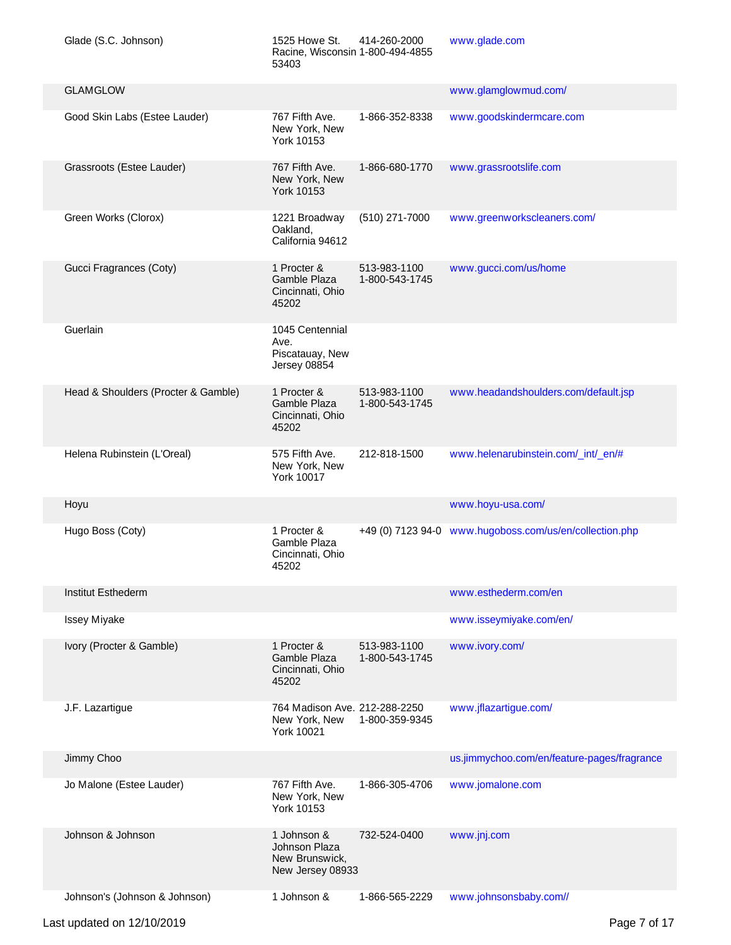| Glade (S.C. Johnson)                | 1525 Howe St.<br>Racine, Wisconsin 1-800-494-4855<br>53403         | 414-260-2000                   | www.glade.com                                           |
|-------------------------------------|--------------------------------------------------------------------|--------------------------------|---------------------------------------------------------|
| <b>GLAMGLOW</b>                     |                                                                    |                                | www.glamglowmud.com/                                    |
| Good Skin Labs (Estee Lauder)       | 767 Fifth Ave.<br>New York, New<br>York 10153                      | 1-866-352-8338                 | www.goodskindermcare.com                                |
| Grassroots (Estee Lauder)           | 767 Fifth Ave.<br>New York, New<br><b>York 10153</b>               | 1-866-680-1770                 | www.grassrootslife.com                                  |
| Green Works (Clorox)                | 1221 Broadway<br>Oakland,<br>California 94612                      | (510) 271-7000                 | www.greenworkscleaners.com/                             |
| Gucci Fragrances (Coty)             | 1 Procter &<br>Gamble Plaza<br>Cincinnati, Ohio<br>45202           | 513-983-1100<br>1-800-543-1745 | www.gucci.com/us/home                                   |
| Guerlain                            | 1045 Centennial<br>Ave.<br>Piscatauay, New<br>Jersey 08854         |                                |                                                         |
| Head & Shoulders (Procter & Gamble) | 1 Procter &<br>Gamble Plaza<br>Cincinnati, Ohio<br>45202           | 513-983-1100<br>1-800-543-1745 | www.headandshoulders.com/default.jsp                    |
| Helena Rubinstein (L'Oreal)         | 575 Fifth Ave.<br>New York, New<br><b>York 10017</b>               | 212-818-1500                   | www.helenarubinstein.com/_int/_en/#                     |
| Hoyu                                |                                                                    |                                | www.hoyu-usa.com/                                       |
| Hugo Boss (Coty)                    | 1 Procter &<br>Gamble Plaza<br>Cincinnati, Ohio<br>45202           |                                | +49 (0) 7123 94-0 www.hugoboss.com/us/en/collection.php |
| Institut Esthederm                  |                                                                    |                                | www.esthederm.com/en                                    |
| <b>Issey Miyake</b>                 |                                                                    |                                | www.isseymiyake.com/en/                                 |
| Ivory (Procter & Gamble)            | 1 Procter &<br>Gamble Plaza<br>Cincinnati, Ohio<br>45202           | 513-983-1100<br>1-800-543-1745 | www.ivory.com/                                          |
| J.F. Lazartigue                     | 764 Madison Ave. 212-288-2250<br>New York, New<br>York 10021       | 1-800-359-9345                 | www.jflazartigue.com/                                   |
| Jimmy Choo                          |                                                                    |                                | us.jimmychoo.com/en/feature-pages/fragrance             |
| Jo Malone (Estee Lauder)            | 767 Fifth Ave.<br>New York, New<br>York 10153                      | 1-866-305-4706                 | www.jomalone.com                                        |
| Johnson & Johnson                   | 1 Johnson &<br>Johnson Plaza<br>New Brunswick,<br>New Jersey 08933 | 732-524-0400                   | www.jnj.com                                             |
| Johnson's (Johnson & Johnson)       | 1 Johnson &                                                        | 1-866-565-2229                 | www.johnsonsbaby.com//                                  |

Last updated on 12/10/2019 **Page 7 of 17**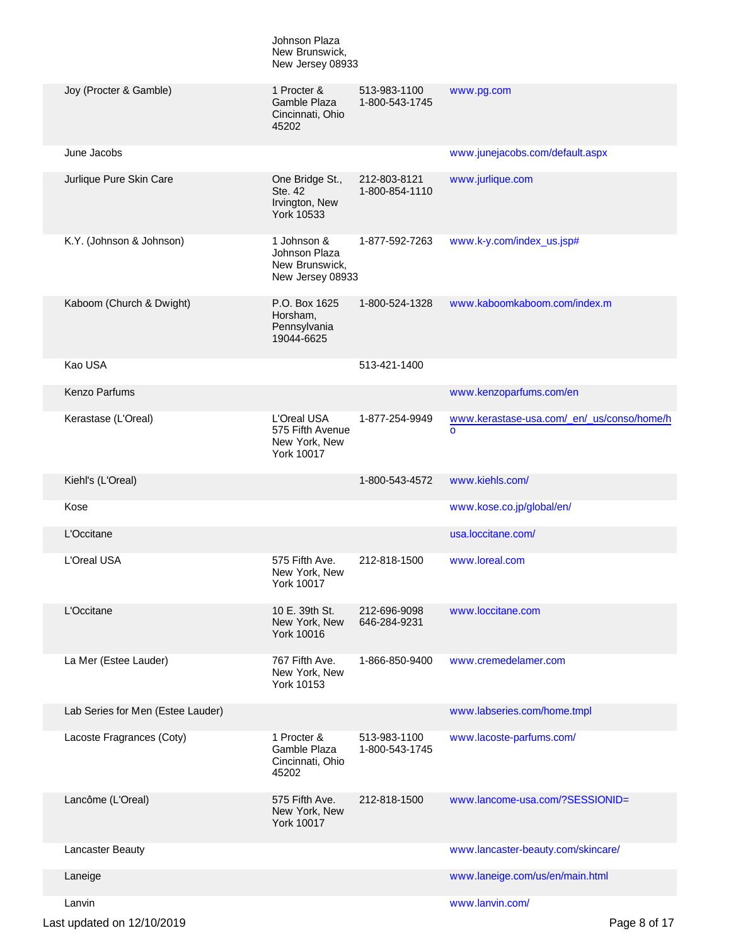|                                   | Johnson Plaza<br>New Brunswick,<br>New Jersey 08933                   |                                |                                                        |
|-----------------------------------|-----------------------------------------------------------------------|--------------------------------|--------------------------------------------------------|
| Joy (Procter & Gamble)            | 1 Procter &<br>Gamble Plaza<br>Cincinnati, Ohio<br>45202              | 513-983-1100<br>1-800-543-1745 | www.pg.com                                             |
| June Jacobs                       |                                                                       |                                | www.junejacobs.com/default.aspx                        |
| Jurlique Pure Skin Care           | One Bridge St.,<br>Ste. 42<br>Irvington, New<br>York 10533            | 212-803-8121<br>1-800-854-1110 | www.jurlique.com                                       |
| K.Y. (Johnson & Johnson)          | 1 Johnson &<br>Johnson Plaza<br>New Brunswick,<br>New Jersey 08933    | 1-877-592-7263                 | www.k-y.com/index_us.jsp#                              |
| Kaboom (Church & Dwight)          | P.O. Box 1625<br>Horsham,<br>Pennsylvania<br>19044-6625               | 1-800-524-1328                 | www.kaboomkaboom.com/index.m                           |
| Kao USA                           |                                                                       | 513-421-1400                   |                                                        |
| <b>Kenzo Parfums</b>              |                                                                       |                                | www.kenzoparfums.com/en                                |
| Kerastase (L'Oreal)               | L'Oreal USA<br>575 Fifth Avenue<br>New York, New<br><b>York 10017</b> | 1-877-254-9949                 | www.kerastase-usa.com/_en/_us/conso/home/h<br>$\Omega$ |
| Kiehl's (L'Oreal)                 |                                                                       | 1-800-543-4572                 | www.kiehls.com/                                        |
| Kose                              |                                                                       |                                | www.kose.co.jp/global/en/                              |
| L'Occitane                        |                                                                       |                                | usa.loccitane.com/                                     |
| L'Oreal USA                       | 575 Fifth Ave.<br>New York, New<br>York 10017                         | 212-818-1500                   | www.loreal.com                                         |
| L'Occitane                        | 10 E. 39th St.<br>New York, New<br>York 10016                         | 212-696-9098<br>646-284-9231   | www.loccitane.com                                      |
| La Mer (Estee Lauder)             | 767 Fifth Ave.<br>New York, New<br>York 10153                         | 1-866-850-9400                 | www.cremedelamer.com                                   |
| Lab Series for Men (Estee Lauder) |                                                                       |                                | www.labseries.com/home.tmpl                            |
| Lacoste Fragrances (Coty)         | 1 Procter &<br>Gamble Plaza<br>Cincinnati, Ohio<br>45202              | 513-983-1100<br>1-800-543-1745 | www.lacoste-parfums.com/                               |
| Lancôme (L'Oreal)                 | 575 Fifth Ave.<br>New York, New<br><b>York 10017</b>                  | 212-818-1500                   | www.lancome-usa.com/?SESSIONID=                        |
| Lancaster Beauty                  |                                                                       |                                | www.lancaster-beauty.com/skincare/                     |
| Laneige                           |                                                                       |                                | www.laneige.com/us/en/main.html                        |
| Lanvin                            |                                                                       |                                | www.lanvin.com/                                        |
| Last updated on 12/10/2019        |                                                                       |                                | Page 8 of 17                                           |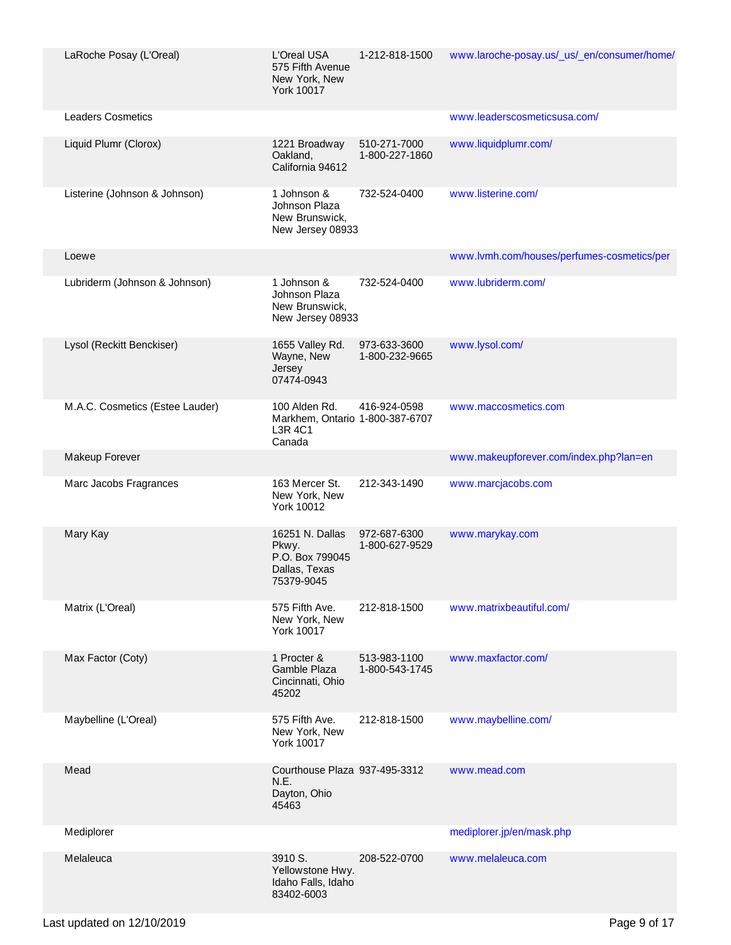| LaRoche Posay (L'Oreal)         | L'Oreal USA<br>575 Fifth Avenue<br>New York, New<br>York 10017             | 1-212-818-1500                 | www.laroche-posay.us/_us/_en/consumer/home/ |
|---------------------------------|----------------------------------------------------------------------------|--------------------------------|---------------------------------------------|
| <b>Leaders Cosmetics</b>        |                                                                            |                                | www.leaderscosmeticsusa.com/                |
| Liquid Plumr (Clorox)           | 1221 Broadway<br>Oakland,<br>California 94612                              | 510-271-7000<br>1-800-227-1860 | www.liquidplumr.com/                        |
| Listerine (Johnson & Johnson)   | 1 Johnson &<br>Johnson Plaza<br>New Brunswick,<br>New Jersey 08933         | 732-524-0400                   | www.listerine.com/                          |
| Loewe                           |                                                                            |                                | www.lvmh.com/houses/perfumes-cosmetics/per  |
| Lubriderm (Johnson & Johnson)   | 1 Johnson &<br>Johnson Plaza<br>New Brunswick,<br>New Jersey 08933         | 732-524-0400                   | www.lubriderm.com/                          |
| Lysol (Reckitt Benckiser)       | 1655 Valley Rd.<br>Wayne, New<br>Jersey<br>07474-0943                      | 973-633-3600<br>1-800-232-9665 | www.lysol.com/                              |
| M.A.C. Cosmetics (Estee Lauder) | 100 Alden Rd.<br>Markhem, Ontario 1-800-387-6707<br>L3R 4C1<br>Canada      | 416-924-0598                   | www.maccosmetics.com                        |
| Makeup Forever                  |                                                                            |                                | www.makeupforever.com/index.php?lan=en      |
| Marc Jacobs Fragrances          | 163 Mercer St.<br>New York, New<br>York 10012                              | 212-343-1490                   | www.marcjacobs.com                          |
| Mary Kay                        | 16251 N. Dallas<br>Pkwy.<br>P.O. Box 799045<br>Dallas, Texas<br>75379-9045 | 972-687-6300<br>1-800-627-9529 | www.marykay.com                             |
| Matrix (L'Oreal)                | 575 Fifth Ave.<br>New York, New<br>York 10017                              | 212-818-1500                   | www.matrixbeautiful.com/                    |
| Max Factor (Coty)               | 1 Procter &<br>Gamble Plaza<br>Cincinnati, Ohio<br>45202                   | 513-983-1100<br>1-800-543-1745 | www.maxfactor.com/                          |
| Maybelline (L'Oreal)            | 575 Fifth Ave.<br>New York, New<br>York 10017                              | 212-818-1500                   | www.maybelline.com/                         |
| Mead                            | Courthouse Plaza 937-495-3312<br>N.E.<br>Dayton, Ohio<br>45463             |                                | www.mead.com                                |
| Mediplorer                      |                                                                            |                                | mediplorer.jp/en/mask.php                   |
| Melaleuca                       | 3910 S.<br>Yellowstone Hwy.<br>Idaho Falls, Idaho<br>83402-6003            | 208-522-0700                   | www.melaleuca.com                           |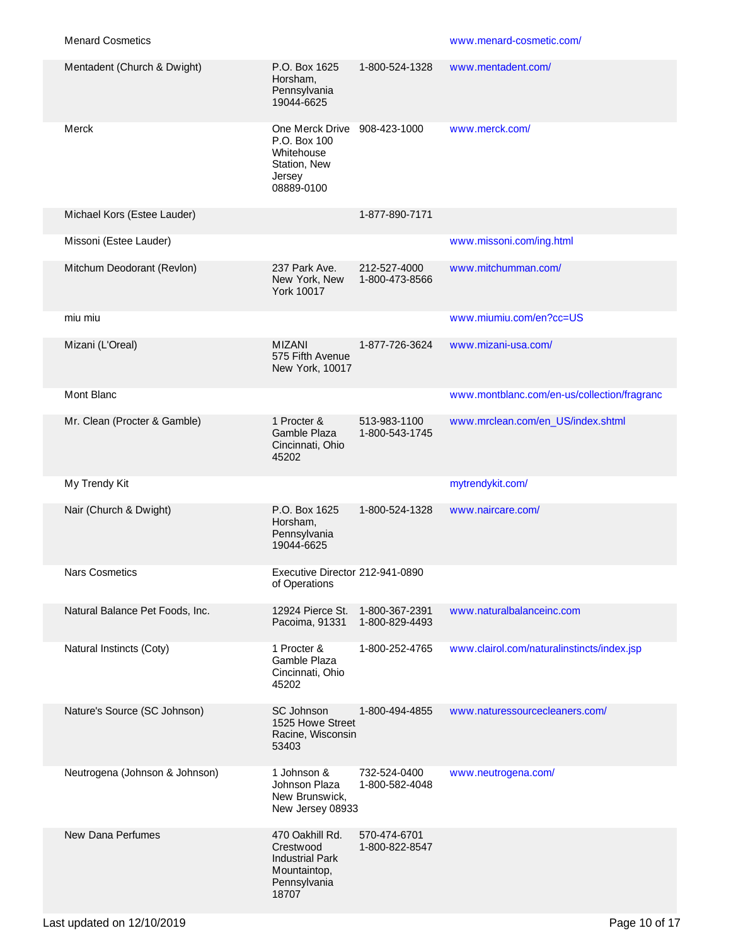| Mentadent (Church & Dwight)     | P.O. Box 1625<br>Horsham,<br>Pennsylvania<br>19044-6625                                         | 1-800-524-1328                   | www.mentadent.com/                          |
|---------------------------------|-------------------------------------------------------------------------------------------------|----------------------------------|---------------------------------------------|
| Merck                           | One Merck Drive<br>P.O. Box 100<br>Whitehouse<br>Station, New<br>Jersey<br>08889-0100           | 908-423-1000                     | www.merck.com/                              |
| Michael Kors (Estee Lauder)     |                                                                                                 | 1-877-890-7171                   |                                             |
| Missoni (Estee Lauder)          |                                                                                                 |                                  | www.missoni.com/ing.html                    |
| Mitchum Deodorant (Revlon)      | 237 Park Ave.<br>New York, New<br><b>York 10017</b>                                             | 212-527-4000<br>1-800-473-8566   | www.mitchumman.com/                         |
| miu miu                         |                                                                                                 |                                  | www.miumiu.com/en?cc=US                     |
| Mizani (L'Oreal)                | <b>MIZANI</b><br>575 Fifth Avenue<br>New York, 10017                                            | 1-877-726-3624                   | www.mizani-usa.com/                         |
| Mont Blanc                      |                                                                                                 |                                  | www.montblanc.com/en-us/collection/fragranc |
| Mr. Clean (Procter & Gamble)    | 1 Procter &<br>Gamble Plaza<br>Cincinnati, Ohio<br>45202                                        | 513-983-1100<br>1-800-543-1745   | www.mrclean.com/en_US/index.shtml           |
| My Trendy Kit                   |                                                                                                 |                                  | mytrendykit.com/                            |
| Nair (Church & Dwight)          | P.O. Box 1625<br>Horsham,<br>Pennsylvania<br>19044-6625                                         | 1-800-524-1328                   | www.naircare.com/                           |
| <b>Nars Cosmetics</b>           | Executive Director 212-941-0890<br>of Operations                                                |                                  |                                             |
| Natural Balance Pet Foods, Inc. | 12924 Pierce St.<br>Pacoima, 91331                                                              | 1-800-367-2391<br>1-800-829-4493 | www.naturalbalanceinc.com                   |
| Natural Instincts (Coty)        | 1 Procter &<br>Gamble Plaza<br>Cincinnati, Ohio<br>45202                                        | 1-800-252-4765                   | www.clairol.com/naturalinstincts/index.jsp  |
| Nature's Source (SC Johnson)    | SC Johnson<br>1525 Howe Street<br>Racine, Wisconsin<br>53403                                    | 1-800-494-4855                   | www.naturessourcecleaners.com/              |
| Neutrogena (Johnson & Johnson)  | 1 Johnson &<br>Johnson Plaza<br>New Brunswick,<br>New Jersey 08933                              | 732-524-0400<br>1-800-582-4048   | www.neutrogena.com/                         |
| New Dana Perfumes               | 470 Oakhill Rd.<br>Crestwood<br><b>Industrial Park</b><br>Mountaintop,<br>Pennsylvania<br>18707 | 570-474-6701<br>1-800-822-8547   |                                             |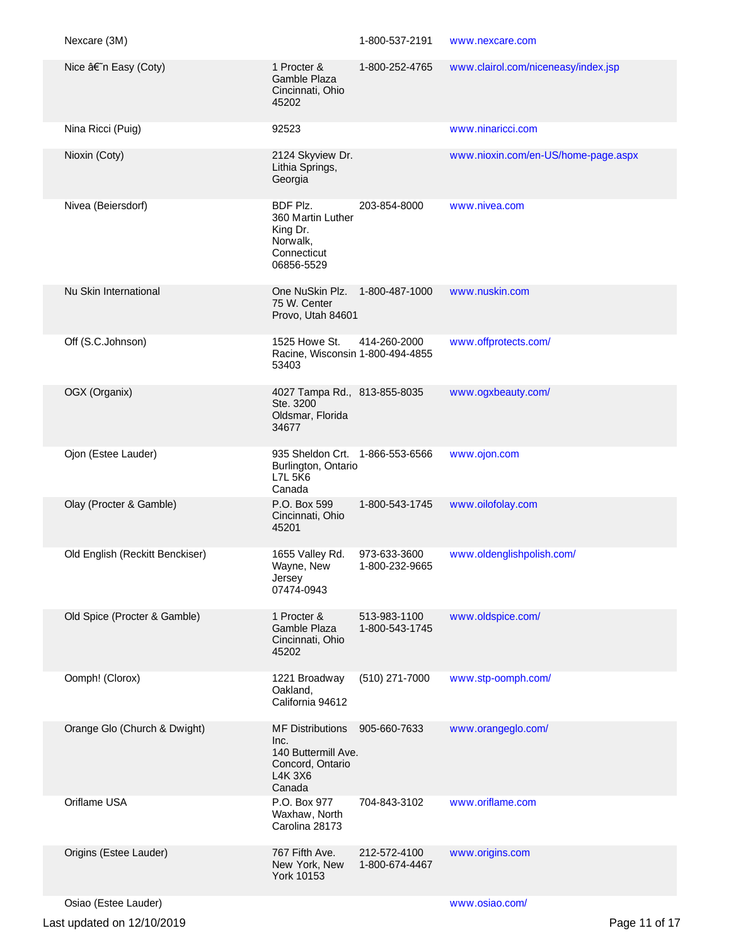| Nexcare (3M)                    |                                                                                                 | 1-800-537-2191                 | www.nexcare.com                     |               |
|---------------------------------|-------------------------------------------------------------------------------------------------|--------------------------------|-------------------------------------|---------------|
| Nice †n Easy (Coty)             | 1 Procter &<br>Gamble Plaza<br>Cincinnati, Ohio<br>45202                                        | 1-800-252-4765                 | www.clairol.com/niceneasy/index.jsp |               |
| Nina Ricci (Puig)               | 92523                                                                                           |                                | www.ninaricci.com                   |               |
| Nioxin (Coty)                   | 2124 Skyview Dr.<br>Lithia Springs,<br>Georgia                                                  |                                | www.nioxin.com/en-US/home-page.aspx |               |
| Nivea (Beiersdorf)              | BDF Plz.<br>360 Martin Luther<br>King Dr.<br>Norwalk,<br>Connecticut<br>06856-5529              | 203-854-8000                   | www.nivea.com                       |               |
| Nu Skin International           | One NuSkin Plz.<br>75 W. Center<br>Provo, Utah 84601                                            | 1-800-487-1000                 | www.nuskin.com                      |               |
| Off (S.C.Johnson)               | 1525 Howe St.<br>Racine, Wisconsin 1-800-494-4855<br>53403                                      | 414-260-2000                   | www.offprotects.com/                |               |
| OGX (Organix)                   | 4027 Tampa Rd., 813-855-8035<br>Ste. 3200<br>Oldsmar, Florida<br>34677                          |                                | www.ogxbeauty.com/                  |               |
| Ojon (Estee Lauder)             | 935 Sheldon Crt. 1-866-553-6566<br>Burlington, Ontario<br><b>L7L 5K6</b><br>Canada              |                                | www.ojon.com                        |               |
| Olay (Procter & Gamble)         | P.O. Box 599<br>Cincinnati, Ohio<br>45201                                                       | 1-800-543-1745                 | www.oilofolay.com                   |               |
| Old English (Reckitt Benckiser) | 1655 Valley Rd.<br>Wayne, New<br>Jersev<br>07474-0943                                           | 973-633-3600<br>1-800-232-9665 | www.oldenglishpolish.com/           |               |
| Old Spice (Procter & Gamble)    | 1 Procter &<br>Gamble Plaza<br>Cincinnati, Ohio<br>45202                                        | 513-983-1100<br>1-800-543-1745 | www.oldspice.com/                   |               |
| Oomph! (Clorox)                 | 1221 Broadway<br>Oakland,<br>California 94612                                                   | (510) 271-7000                 | www.stp-oomph.com/                  |               |
| Orange Glo (Church & Dwight)    | <b>MF Distributions</b><br>Inc.<br>140 Buttermill Ave.<br>Concord, Ontario<br>L4K 3X6<br>Canada | 905-660-7633                   | www.orangeglo.com/                  |               |
| Oriflame USA                    | P.O. Box 977<br>Waxhaw, North<br>Carolina 28173                                                 | 704-843-3102                   | www.oriflame.com                    |               |
| Origins (Estee Lauder)          | 767 Fifth Ave.<br>New York, New<br>York 10153                                                   | 212-572-4100<br>1-800-674-4467 | www.origins.com                     |               |
| Osiao (Estee Lauder)            |                                                                                                 |                                | www.osiao.com/                      |               |
| Last updated on 12/10/2019      |                                                                                                 |                                |                                     | Page 11 of 17 |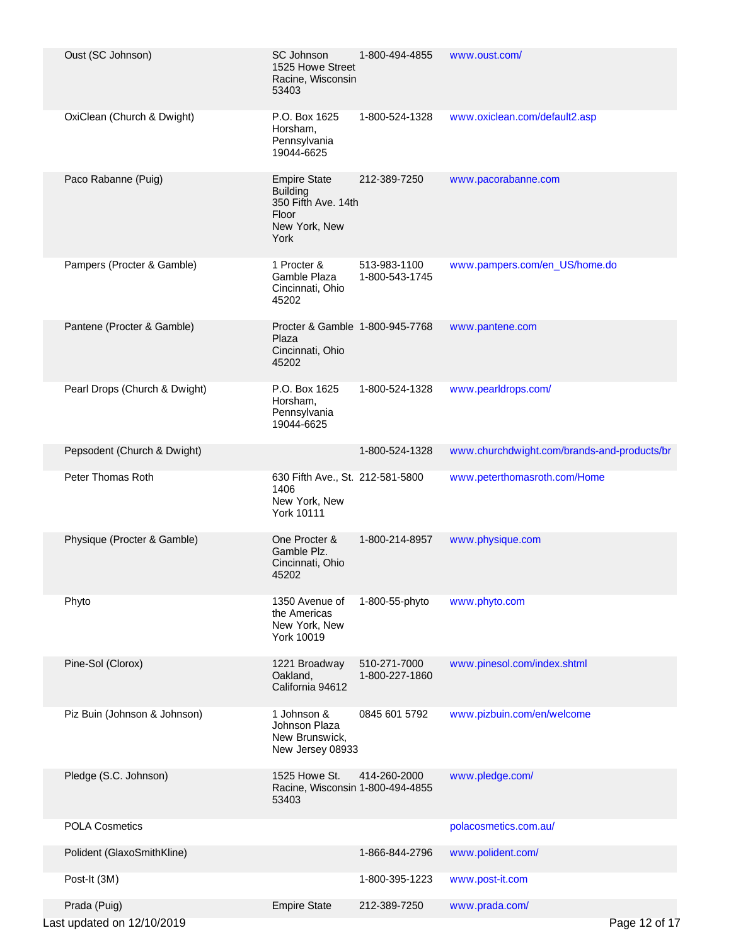| Oust (SC Johnson)                          | <b>SC Johnson</b><br>1525 Howe Street<br>Racine, Wisconsin<br>53403                             | 1-800-494-4855                 | www.oust.com/                               |  |
|--------------------------------------------|-------------------------------------------------------------------------------------------------|--------------------------------|---------------------------------------------|--|
| OxiClean (Church & Dwight)                 | P.O. Box 1625<br>Horsham,<br>Pennsylvania<br>19044-6625                                         | 1-800-524-1328                 | www.oxiclean.com/default2.asp               |  |
| Paco Rabanne (Puig)                        | <b>Empire State</b><br><b>Building</b><br>350 Fifth Ave. 14th<br>Floor<br>New York, New<br>York | 212-389-7250                   | www.pacorabanne.com                         |  |
| Pampers (Procter & Gamble)                 | 1 Procter &<br>Gamble Plaza<br>Cincinnati, Ohio<br>45202                                        | 513-983-1100<br>1-800-543-1745 | www.pampers.com/en_US/home.do               |  |
| Pantene (Procter & Gamble)                 | Procter & Gamble 1-800-945-7768<br>Plaza<br>Cincinnati, Ohio<br>45202                           |                                | www.pantene.com                             |  |
| Pearl Drops (Church & Dwight)              | P.O. Box 1625<br>Horsham,<br>Pennsylvania<br>19044-6625                                         | 1-800-524-1328                 | www.pearldrops.com/                         |  |
| Pepsodent (Church & Dwight)                |                                                                                                 | 1-800-524-1328                 | www.churchdwight.com/brands-and-products/br |  |
| Peter Thomas Roth                          | 630 Fifth Ave., St. 212-581-5800<br>1406<br>New York, New<br><b>York 10111</b>                  |                                | www.peterthomasroth.com/Home                |  |
| Physique (Procter & Gamble)                | One Procter &<br>Gamble Plz.<br>Cincinnati, Ohio<br>45202                                       | 1-800-214-8957                 | www.physique.com                            |  |
| Phyto                                      | 1350 Avenue of<br>the Americas<br>New York, New<br>York 10019                                   | 1-800-55-phyto                 | www.phyto.com                               |  |
| Pine-Sol (Clorox)                          | 1221 Broadway<br>Oakland,<br>California 94612                                                   | 510-271-7000<br>1-800-227-1860 | www.pinesol.com/index.shtml                 |  |
| Piz Buin (Johnson & Johnson)               | 1 Johnson &<br>Johnson Plaza<br>New Brunswick,<br>New Jersey 08933                              | 0845 601 5792                  | www.pizbuin.com/en/welcome                  |  |
| Pledge (S.C. Johnson)                      | 1525 Howe St.<br>Racine, Wisconsin 1-800-494-4855<br>53403                                      | 414-260-2000                   | www.pledge.com/                             |  |
| <b>POLA Cosmetics</b>                      |                                                                                                 |                                | polacosmetics.com.au/                       |  |
| Polident (GlaxoSmithKline)                 |                                                                                                 | 1-866-844-2796                 | www.polident.com/                           |  |
| Post-It (3M)                               |                                                                                                 | 1-800-395-1223                 | www.post-it.com                             |  |
| Prada (Puig)<br>Last updated on 12/10/2019 | <b>Empire State</b>                                                                             | 212-389-7250                   | www.prada.com/<br>Page 12 of 17             |  |
|                                            |                                                                                                 |                                |                                             |  |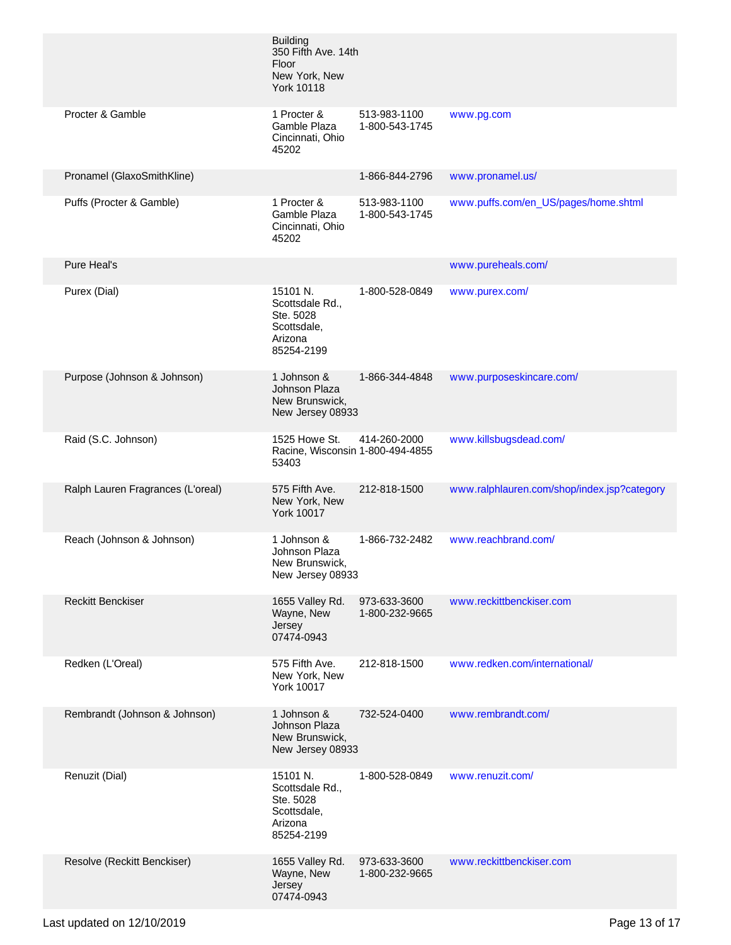|                                   | <b>Building</b><br>350 Fifth Ave. 14th<br>Floor<br>New York, New<br><b>York 10118</b> |                                |                                             |
|-----------------------------------|---------------------------------------------------------------------------------------|--------------------------------|---------------------------------------------|
| Procter & Gamble                  | 1 Procter &<br>Gamble Plaza<br>Cincinnati, Ohio<br>45202                              | 513-983-1100<br>1-800-543-1745 | www.pg.com                                  |
| Pronamel (GlaxoSmithKline)        |                                                                                       | 1-866-844-2796                 | www.pronamel.us/                            |
| Puffs (Procter & Gamble)          | 1 Procter &<br>Gamble Plaza<br>Cincinnati, Ohio<br>45202                              | 513-983-1100<br>1-800-543-1745 | www.puffs.com/en_US/pages/home.shtml        |
| Pure Heal's                       |                                                                                       |                                | www.pureheals.com/                          |
| Purex (Dial)                      | 15101 N.<br>Scottsdale Rd.,<br>Ste. 5028<br>Scottsdale,<br>Arizona<br>85254-2199      | 1-800-528-0849                 | www.purex.com/                              |
| Purpose (Johnson & Johnson)       | 1 Johnson &<br>Johnson Plaza<br>New Brunswick,<br>New Jersey 08933                    | 1-866-344-4848                 | www.purposeskincare.com/                    |
| Raid (S.C. Johnson)               | 1525 Howe St.<br>Racine, Wisconsin 1-800-494-4855<br>53403                            | 414-260-2000                   | www.killsbugsdead.com/                      |
| Ralph Lauren Fragrances (L'oreal) | 575 Fifth Ave.<br>New York, New<br><b>York 10017</b>                                  | 212-818-1500                   | www.ralphlauren.com/shop/index.jsp?category |
| Reach (Johnson & Johnson)         | 1 Johnson &<br>Johnson Plaza<br>New Brunswick,<br>New Jersey 08933                    | 1-866-732-2482                 | www.reachbrand.com/                         |
| <b>Reckitt Benckiser</b>          | 1655 Valley Rd.<br>Wayne, New<br>Jersey<br>07474-0943                                 | 973-633-3600<br>1-800-232-9665 | www.reckittbenckiser.com                    |
| Redken (L'Oreal)                  | 575 Fifth Ave.<br>New York, New<br>York 10017                                         | 212-818-1500                   | www.redken.com/international/               |
| Rembrandt (Johnson & Johnson)     | 1 Johnson &<br>Johnson Plaza<br>New Brunswick,<br>New Jersey 08933                    | 732-524-0400                   | www.rembrandt.com/                          |
| Renuzit (Dial)                    | 15101 N.<br>Scottsdale Rd.,<br>Ste. 5028<br>Scottsdale,<br>Arizona<br>85254-2199      | 1-800-528-0849                 | www.renuzit.com/                            |
| Resolve (Reckitt Benckiser)       | 1655 Valley Rd.<br>Wayne, New<br>Jersey<br>07474-0943                                 | 973-633-3600<br>1-800-232-9665 | www.reckittbenckiser.com                    |
|                                   |                                                                                       |                                |                                             |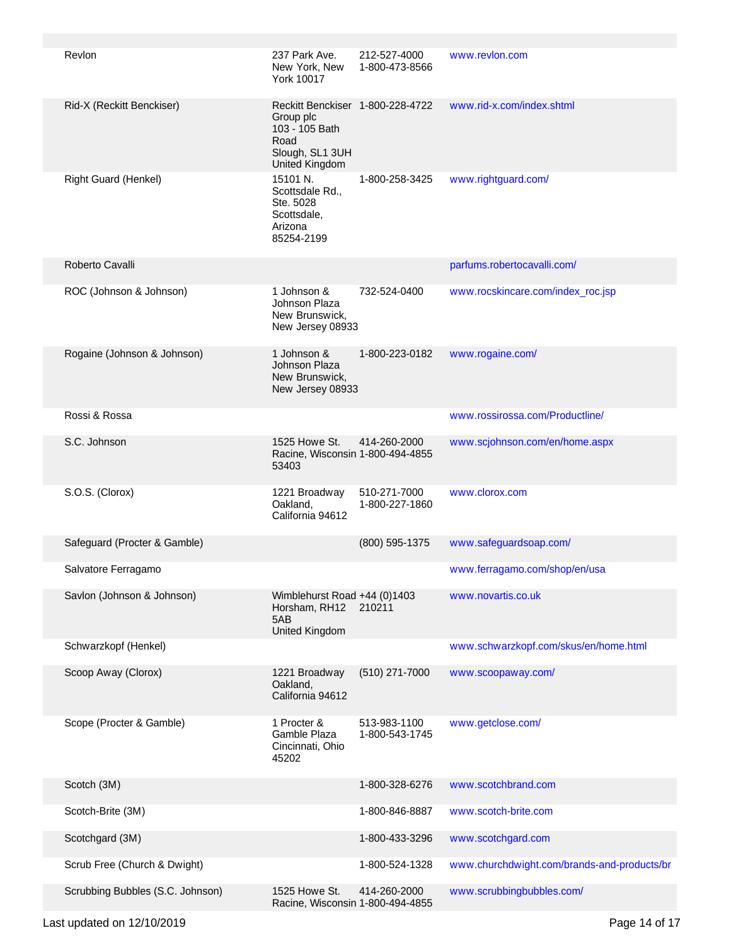| Revlon                           | 237 Park Ave.<br>New York, New<br>York 10017                                                                 | 212-527-4000<br>1-800-473-8566 | www.revlon.com                              |
|----------------------------------|--------------------------------------------------------------------------------------------------------------|--------------------------------|---------------------------------------------|
| Rid-X (Reckitt Benckiser)        | Reckitt Benckiser 1-800-228-4722<br>Group plc<br>103 - 105 Bath<br>Road<br>Slough, SL1 3UH<br>United Kingdom |                                | www.rid-x.com/index.shtml                   |
| Right Guard (Henkel)             | 15101 N.<br>Scottsdale Rd<br>Ste. 5028<br>Scottsdale,<br>Arizona<br>85254-2199                               | 1-800-258-3425                 | www.rightguard.com/                         |
| Roberto Cavalli                  |                                                                                                              |                                | parfums.robertocavalli.com/                 |
| ROC (Johnson & Johnson)          | 1 Johnson &<br>Johnson Plaza<br>New Brunswick,<br>New Jersey 08933                                           | 732-524-0400                   | www.rocskincare.com/index_roc.jsp           |
| Rogaine (Johnson & Johnson)      | 1 Johnson &<br>Johnson Plaza<br>New Brunswick,<br>New Jersey 08933                                           | 1-800-223-0182                 | www.rogaine.com/                            |
| Rossi & Rossa                    |                                                                                                              |                                | www.rossirossa.com/Productline/             |
| S.C. Johnson                     | 1525 Howe St.<br>Racine, Wisconsin 1-800-494-4855<br>53403                                                   | 414-260-2000                   | www.scjohnson.com/en/home.aspx              |
| S.O.S. (Clorox)                  | 1221 Broadway<br>Oakland,<br>California 94612                                                                | 510-271-7000<br>1-800-227-1860 | www.clorox.com                              |
| Safeguard (Procter & Gamble)     |                                                                                                              | (800) 595-1375                 | www.safeguardsoap.com/                      |
| Salvatore Ferragamo              |                                                                                                              |                                | www.ferragamo.com/shop/en/usa               |
| Savlon (Johnson & Johnson)       | Wimblehurst Road +44 (0)1403<br>Horsham, RH12<br>5AB<br>United Kingdom                                       | 210211                         | www.novartis.co.uk                          |
| Schwarzkopf (Henkel)             |                                                                                                              |                                | www.schwarzkopf.com/skus/en/home.html       |
| Scoop Away (Clorox)              | 1221 Broadway<br>Oakland,<br>California 94612                                                                | $(510)$ 271-7000               | www.scoopaway.com/                          |
| Scope (Procter & Gamble)         | 1 Procter &<br>Gamble Plaza<br>Cincinnati, Ohio<br>45202                                                     | 513-983-1100<br>1-800-543-1745 | www.getclose.com/                           |
| Scotch (3M)                      |                                                                                                              | 1-800-328-6276                 | www.scotchbrand.com                         |
| Scotch-Brite (3M)                |                                                                                                              | 1-800-846-8887                 | www.scotch-brite.com                        |
| Scotchgard (3M)                  |                                                                                                              | 1-800-433-3296                 | www.scotchgard.com                          |
| Scrub Free (Church & Dwight)     |                                                                                                              | 1-800-524-1328                 | www.churchdwight.com/brands-and-products/br |
| Scrubbing Bubbles (S.C. Johnson) | 1525 Howe St.<br>Racine, Wisconsin 1-800-494-4855                                                            | 414-260-2000                   | www.scrubbingbubbles.com/                   |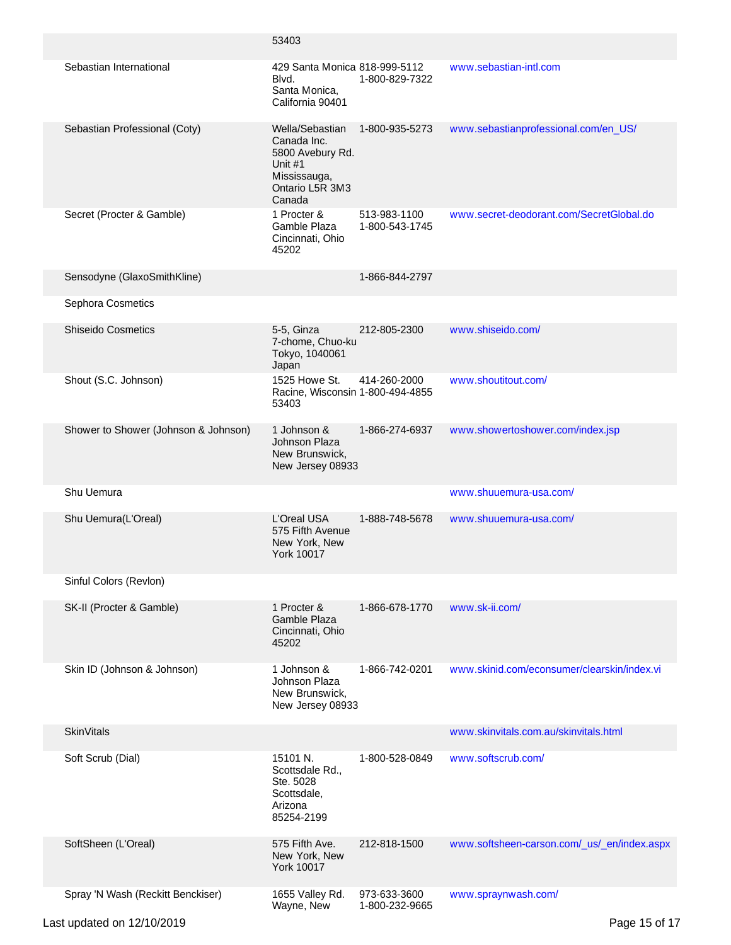|                                      | 53403                                                                                                      |                                |                                             |
|--------------------------------------|------------------------------------------------------------------------------------------------------------|--------------------------------|---------------------------------------------|
| Sebastian International              | 429 Santa Monica 818-999-5112<br>Blvd.<br>Santa Monica,<br>California 90401                                | 1-800-829-7322                 | www.sebastian-intl.com                      |
| Sebastian Professional (Coty)        | Wella/Sebastian<br>Canada Inc.<br>5800 Avebury Rd.<br>Unit #1<br>Mississauga,<br>Ontario L5R 3M3<br>Canada | 1-800-935-5273                 | www.sebastianprofessional.com/en_US/        |
| Secret (Procter & Gamble)            | 1 Procter &<br>Gamble Plaza<br>Cincinnati, Ohio<br>45202                                                   | 513-983-1100<br>1-800-543-1745 | www.secret-deodorant.com/SecretGlobal.do    |
| Sensodyne (GlaxoSmithKline)          |                                                                                                            | 1-866-844-2797                 |                                             |
| Sephora Cosmetics                    |                                                                                                            |                                |                                             |
| <b>Shiseido Cosmetics</b>            | 5-5, Ginza<br>7-chome, Chuo-ku<br>Tokyo, 1040061<br>Japan                                                  | 212-805-2300                   | www.shiseido.com/                           |
| Shout (S.C. Johnson)                 | 1525 Howe St.<br>Racine, Wisconsin 1-800-494-4855<br>53403                                                 | 414-260-2000                   | www.shoutitout.com/                         |
| Shower to Shower (Johnson & Johnson) | 1 Johnson &<br>Johnson Plaza<br>New Brunswick,<br>New Jersey 08933                                         | 1-866-274-6937                 | www.showertoshower.com/index.jsp            |
| Shu Uemura                           |                                                                                                            |                                | www.shuuemura-usa.com/                      |
| Shu Uemura(L'Oreal)                  | L'Oreal USA<br>575 Fifth Avenue<br>New York, New<br><b>York 10017</b>                                      | 1-888-748-5678                 | www.shuuemura-usa.com/                      |
| Sinful Colors (Revlon)               |                                                                                                            |                                |                                             |
| SK-II (Procter & Gamble)             | 1 Procter &<br>Gamble Plaza<br>Cincinnati, Ohio<br>45202                                                   | 1-866-678-1770                 | www.sk-ii.com/                              |
| Skin ID (Johnson & Johnson)          | 1 Johnson &<br>Johnson Plaza<br>New Brunswick,<br>New Jersey 08933                                         | 1-866-742-0201                 | www.skinid.com/econsumer/clearskin/index.vi |
| <b>SkinVitals</b>                    |                                                                                                            |                                | www.skinvitals.com.au/skinvitals.html       |
| Soft Scrub (Dial)                    | 15101 N.<br>Scottsdale Rd.,<br>Ste. 5028<br>Scottsdale,<br>Arizona<br>85254-2199                           | 1-800-528-0849                 | www.softscrub.com/                          |
| SoftSheen (L'Oreal)                  | 575 Fifth Ave.<br>New York, New<br><b>York 10017</b>                                                       | 212-818-1500                   | www.softsheen-carson.com/_us/_en/index.aspx |
| Spray 'N Wash (Reckitt Benckiser)    | 1655 Valley Rd.<br>Wayne, New                                                                              | 973-633-3600<br>1-800-232-9665 | www.spraynwash.com/                         |

Last updated on 12/10/2019 **Page 15 of 17**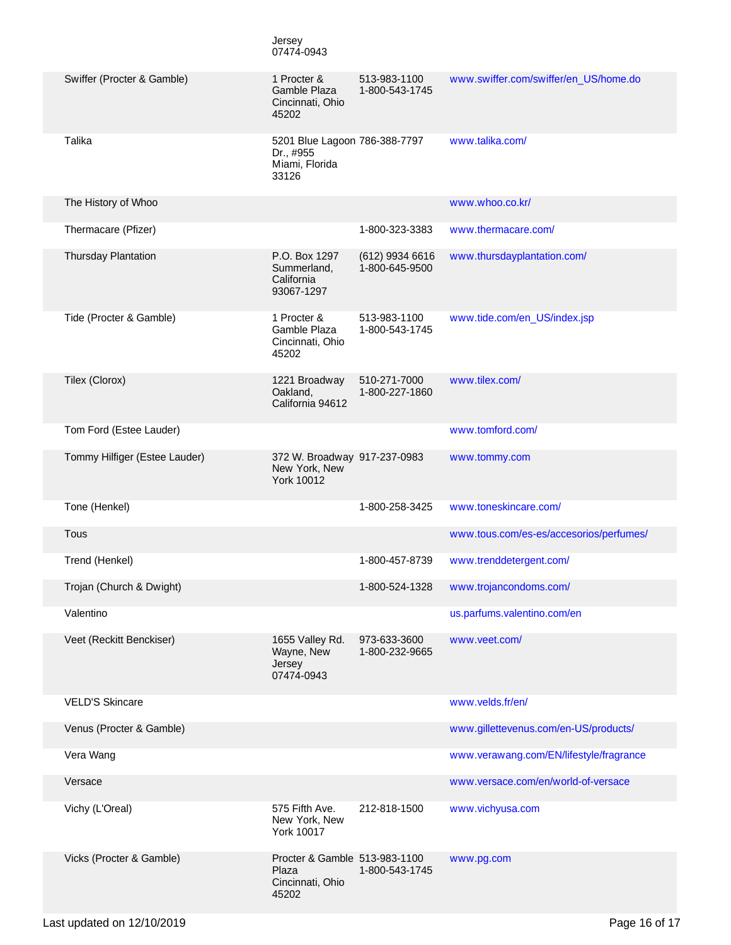|                               | Jersey<br>07474-0943                                                  |                                   |                                         |
|-------------------------------|-----------------------------------------------------------------------|-----------------------------------|-----------------------------------------|
| Swiffer (Procter & Gamble)    | 1 Procter &<br>Gamble Plaza<br>Cincinnati, Ohio<br>45202              | 513-983-1100<br>1-800-543-1745    | www.swiffer.com/swiffer/en_US/home.do   |
| Talika                        | 5201 Blue Lagoon 786-388-7797<br>Dr., #955<br>Miami, Florida<br>33126 |                                   | www.talika.com/                         |
| The History of Whoo           |                                                                       |                                   | www.whoo.co.kr/                         |
| Thermacare (Pfizer)           |                                                                       | 1-800-323-3383                    | www.thermacare.com/                     |
| <b>Thursday Plantation</b>    | P.O. Box 1297<br>Summerland,<br>California<br>93067-1297              | (612) 9934 6616<br>1-800-645-9500 | www.thursdayplantation.com/             |
| Tide (Procter & Gamble)       | 1 Procter &<br>Gamble Plaza<br>Cincinnati, Ohio<br>45202              | 513-983-1100<br>1-800-543-1745    | www.tide.com/en_US/index.jsp            |
| Tilex (Clorox)                | 1221 Broadway<br>Oakland,<br>California 94612                         | 510-271-7000<br>1-800-227-1860    | www.tilex.com/                          |
| Tom Ford (Estee Lauder)       |                                                                       |                                   | www.tomford.com/                        |
| Tommy Hilfiger (Estee Lauder) | 372 W. Broadway 917-237-0983<br>New York, New<br>York 10012           |                                   | www.tommy.com                           |
| Tone (Henkel)                 |                                                                       | 1-800-258-3425                    | www.toneskincare.com/                   |
| Tous                          |                                                                       |                                   | www.tous.com/es-es/accesorios/perfumes/ |
| Trend (Henkel)                |                                                                       | 1-800-457-8739                    | www.trenddetergent.com/                 |
| Trojan (Church & Dwight)      |                                                                       | 1-800-524-1328                    | www.trojancondoms.com/                  |
| Valentino                     |                                                                       |                                   | us.parfums.valentino.com/en             |
| Veet (Reckitt Benckiser)      | 1655 Valley Rd.<br>Wayne, New<br>Jersey<br>07474-0943                 | 973-633-3600<br>1-800-232-9665    | www.veet.com/                           |
| <b>VELD'S Skincare</b>        |                                                                       |                                   | www.velds.fr/en/                        |
| Venus (Procter & Gamble)      |                                                                       |                                   | www.gillettevenus.com/en-US/products/   |
| Vera Wang                     |                                                                       |                                   | www.verawang.com/EN/lifestyle/fragrance |
| Versace                       |                                                                       |                                   | www.versace.com/en/world-of-versace     |
| Vichy (L'Oreal)               | 575 Fifth Ave.<br>New York, New<br><b>York 10017</b>                  | 212-818-1500                      | www.vichyusa.com                        |
| Vicks (Procter & Gamble)      | Procter & Gamble 513-983-1100<br>Plaza<br>Cincinnati, Ohio<br>45202   | 1-800-543-1745                    | www.pg.com                              |